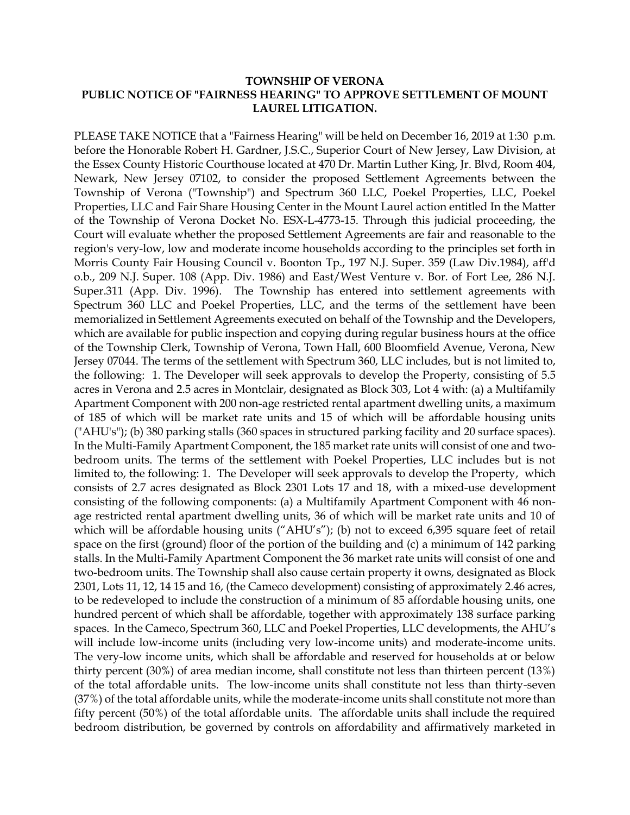## **TOWNSHIP OF VERONA PUBLIC NOTICE OF "FAIRNESS HEARING" TO APPROVE SETTLEMENT OF MOUNT LAUREL LITIGATION.**

PLEASE TAKE NOTICE that a "Fairness Hearing" will be held on December 16, 2019 at 1:30 p.m. before the Honorable Robert H. Gardner, J.S.C., Superior Court of New Jersey, Law Division, at the Essex County Historic Courthouse located at 470 Dr. Martin Luther King, Jr. Blvd, Room 404, Newark, New Jersey 07102, to consider the proposed Settlement Agreements between the Township of Verona ("Township") and Spectrum 360 LLC, Poekel Properties, LLC, Poekel Properties, LLC and Fair Share Housing Center in the Mount Laurel action entitled In the Matter of the Township of Verona Docket No. ESX-L-4773-15. Through this judicial proceeding, the Court will evaluate whether the proposed Settlement Agreements are fair and reasonable to the region's very-low, low and moderate income households according to the principles set forth in Morris County Fair Housing Council v. Boonton Tp., 197 N.J. Super. 359 (Law Div.1984), aff'd o.b., 209 N.J. Super. 108 (App. Div. 1986) and East/West Venture v. Bor. of Fort Lee, 286 N.J. Super.311 (App. Div. 1996). The Township has entered into settlement agreements with Spectrum 360 LLC and Poekel Properties, LLC, and the terms of the settlement have been memorialized in Settlement Agreements executed on behalf of the Township and the Developers, which are available for public inspection and copying during regular business hours at the office of the Township Clerk, Township of Verona, Town Hall, 600 Bloomfield Avenue, Verona, New Jersey 07044. The terms of the settlement with Spectrum 360, LLC includes, but is not limited to, the following: 1. The Developer will seek approvals to develop the Property, consisting of 5.5 acres in Verona and 2.5 acres in Montclair, designated as Block 303, Lot 4 with: (a) a Multifamily Apartment Component with 200 non-age restricted rental apartment dwelling units, a maximum of 185 of which will be market rate units and 15 of which will be affordable housing units ("AHU's"); (b) 380 parking stalls (360 spaces in structured parking facility and 20 surface spaces). In the Multi-Family Apartment Component, the 185 market rate units will consist of one and twobedroom units. The terms of the settlement with Poekel Properties, LLC includes but is not limited to, the following: 1. The Developer will seek approvals to develop the Property, which consists of 2.7 acres designated as Block 2301 Lots 17 and 18, with a mixed-use development consisting of the following components: (a) a Multifamily Apartment Component with 46 nonage restricted rental apartment dwelling units, 36 of which will be market rate units and 10 of which will be affordable housing units ("AHU's"); (b) not to exceed 6,395 square feet of retail space on the first (ground) floor of the portion of the building and (c) a minimum of 142 parking stalls. In the Multi-Family Apartment Component the 36 market rate units will consist of one and two-bedroom units. The Township shall also cause certain property it owns, designated as Block 2301, Lots 11, 12, 14 15 and 16, (the Cameco development) consisting of approximately 2.46 acres, to be redeveloped to include the construction of a minimum of 85 affordable housing units, one hundred percent of which shall be affordable, together with approximately 138 surface parking spaces. In the Cameco, Spectrum 360, LLC and Poekel Properties, LLC developments, the AHU's will include low-income units (including very low-income units) and moderate-income units. The very-low income units, which shall be affordable and reserved for households at or below thirty percent (30%) of area median income, shall constitute not less than thirteen percent (13%) of the total affordable units. The low-income units shall constitute not less than thirty-seven (37%) of the total affordable units, while the moderate-income units shall constitute not more than fifty percent (50%) of the total affordable units. The affordable units shall include the required bedroom distribution, be governed by controls on affordability and affirmatively marketed in